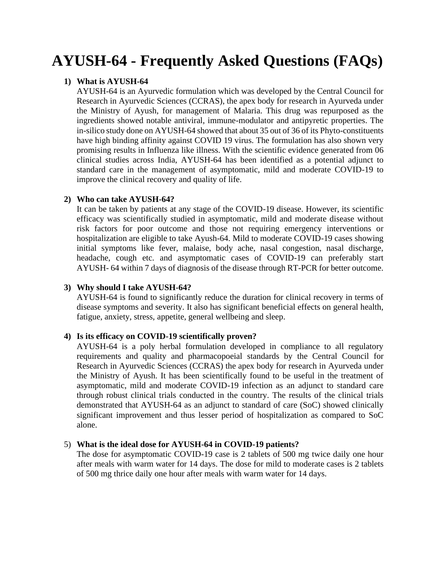# **AYUSH-64 - Frequently Asked Questions (FAQs)**

## **1) What is AYUSH-64**

AYUSH-64 is an Ayurvedic formulation which was developed by the Central Council for Research in Ayurvedic Sciences (CCRAS), the apex body for research in Ayurveda under the Ministry of Ayush, for management of Malaria. This drug was repurposed as the ingredients showed notable antiviral, immune-modulator and antipyretic properties. The in-silico study done on AYUSH-64 showed that about 35 out of 36 of its Phyto-constituents have high binding affinity against COVID 19 virus. The formulation has also shown very promising results in Influenza like illness. With the scientific evidence generated from 06 clinical studies across India, AYUSH-64 has been identified as a potential adjunct to standard care in the management of asymptomatic, mild and moderate COVID-19 to improve the clinical recovery and quality of life.

## **2) Who can take AYUSH-64?**

It can be taken by patients at any stage of the COVID-19 disease. However, its scientific efficacy was scientifically studied in asymptomatic, mild and moderate disease without risk factors for poor outcome and those not requiring emergency interventions or hospitalization are eligible to take Ayush-64. Mild to moderate COVID-19 cases showing initial symptoms like fever, malaise, body ache, nasal congestion, nasal discharge, headache, cough etc. and asymptomatic cases of COVID-19 can preferably start AYUSH- 64 within 7 days of diagnosis of the disease through RT-PCR for better outcome.

## **3) Why should I take AYUSH-64?**

AYUSH-64 is found to significantly reduce the duration for clinical recovery in terms of disease symptoms and severity. It also has significant beneficial effects on general health, fatigue, anxiety, stress, appetite, general wellbeing and sleep.

## **4) Is its efficacy on COVID-19 scientifically proven?**

AYUSH-64 is a poly herbal formulation developed in compliance to all regulatory requirements and quality and pharmacopoeial standards by the Central Council for Research in Ayurvedic Sciences (CCRAS) the apex body for research in Ayurveda under the Ministry of Ayush. It has been scientifically found to be useful in the treatment of asymptomatic, mild and moderate COVID-19 infection as an adjunct to standard care through robust clinical trials conducted in the country. The results of the clinical trials demonstrated that AYUSH-64 as an adjunct to standard of care (SoC) showed clinically significant improvement and thus lesser period of hospitalization as compared to SoC alone.

## 5) **What is the ideal dose for AYUSH-64 in COVID-19 patients?**

The dose for asymptomatic COVID-19 case is 2 tablets of 500 mg twice daily one hour after meals with warm water for 14 days. The dose for mild to moderate cases is 2 tablets of 500 mg thrice daily one hour after meals with warm water for 14 days.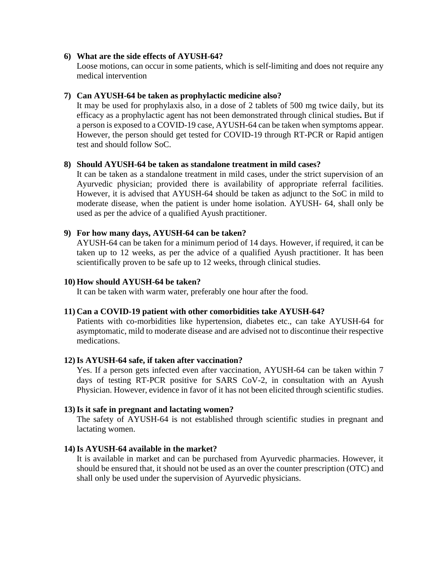## **6) What are the side effects of AYUSH-64?**

Loose motions, can occur in some patients, which is self-limiting and does not require any medical intervention

## **7) Can AYUSH-64 be taken as prophylactic medicine also?**

It may be used for prophylaxis also, in a dose of 2 tablets of 500 mg twice daily, but its efficacy as a prophylactic agent has not been demonstrated through clinical studies**.** But if a person is exposed to a COVID-19 case, AYUSH-64 can be taken when symptoms appear. However, the person should get tested for COVID-19 through RT-PCR or Rapid antigen test and should follow SoC.

## **8) Should AYUSH-64 be taken as standalone treatment in mild cases?**

It can be taken as a standalone treatment in mild cases, under the strict supervision of an Ayurvedic physician; provided there is availability of appropriate referral facilities. However, it is advised that AYUSH-64 should be taken as adjunct to the SoC in mild to moderate disease, when the patient is under home isolation. AYUSH- 64, shall only be used as per the advice of a qualified Ayush practitioner.

## **9) For how many days, AYUSH-64 can be taken?**

AYUSH-64 can be taken for a minimum period of 14 days. However, if required, it can be taken up to 12 weeks, as per the advice of a qualified Ayush practitioner. It has been scientifically proven to be safe up to 12 weeks, through clinical studies.

## **10) How should AYUSH-64 be taken?**

It can be taken with warm water, preferably one hour after the food.

## **11) Can a COVID-19 patient with other comorbidities take AYUSH-64?**

Patients with co-morbidities like hypertension, diabetes etc., can take AYUSH-64 for asymptomatic, mild to moderate disease and are advised not to discontinue their respective medications.

## **12)Is AYUSH-64 safe, if taken after vaccination?**

Yes. If a person gets infected even after vaccination, AYUSH-64 can be taken within 7 days of testing RT-PCR positive for SARS CoV-2, in consultation with an Ayush Physician. However, evidence in favor of it has not been elicited through scientific studies.

## **13)Is it safe in pregnant and lactating women?**

The safety of AYUSH-64 is not established through scientific studies in pregnant and lactating women.

## **14)Is AYUSH-64 available in the market?**

It is available in market and can be purchased from Ayurvedic pharmacies. However, it should be ensured that, it should not be used as an over the counter prescription (OTC) and shall only be used under the supervision of Ayurvedic physicians.